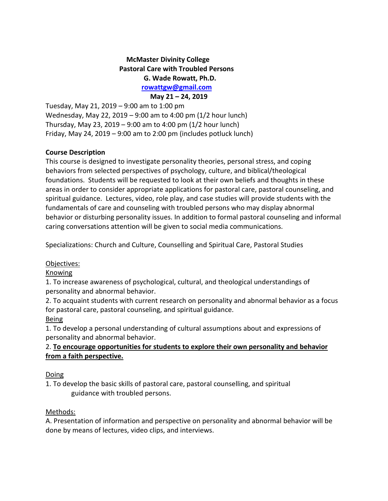# **McMaster Divinity College Pastoral Care with Troubled Persons G. Wade Rowatt, Ph.D. [rowattgw@gmail.com](mailto:gwrowatt@stmattpastoralcounseling.org)**

 **May 21 – 24, 2019** Tuesday, May 21, 2019 – 9:00 am to 1:00 pm Wednesday, May 22, 2019 – 9:00 am to 4:00 pm (1/2 hour lunch) Thursday, May 23, 2019 – 9:00 am to 4:00 pm (1/2 hour lunch) Friday, May 24, 2019 – 9:00 am to 2:00 pm (includes potluck lunch)

#### **Course Description**

This course is designed to investigate personality theories, personal stress, and coping behaviors from selected perspectives of psychology, culture, and biblical/theological foundations. Students will be requested to look at their own beliefs and thoughts in these areas in order to consider appropriate applications for pastoral care, pastoral counseling, and spiritual guidance. Lectures, video, role play, and case studies will provide students with the fundamentals of care and counseling with troubled persons who may display abnormal behavior or disturbing personality issues. In addition to formal pastoral counseling and informal caring conversations attention will be given to social media communications.

Specializations: Church and Culture, Counselling and Spiritual Care, Pastoral Studies

#### Objectives:

#### Knowing

1. To increase awareness of psychological, cultural, and theological understandings of personality and abnormal behavior.

2. To acquaint students with current research on personality and abnormal behavior as a focus for pastoral care, pastoral counseling, and spiritual guidance.

#### Being

1. To develop a personal understanding of cultural assumptions about and expressions of personality and abnormal behavior.

## 2. **To encourage opportunities for students to explore their own personality and behavior from a faith perspective.**

#### Doing

1. To develop the basic skills of pastoral care, pastoral counselling, and spiritual guidance with troubled persons.

#### Methods:

A. Presentation of information and perspective on personality and abnormal behavior will be done by means of lectures, video clips, and interviews.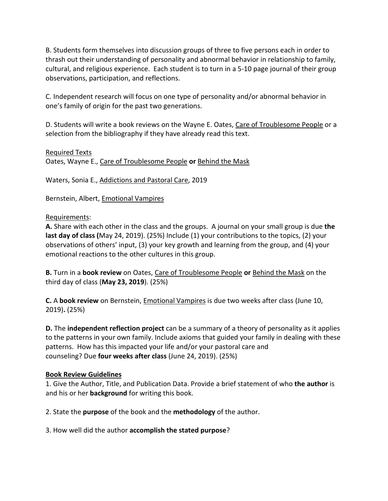B. Students form themselves into discussion groups of three to five persons each in order to thrash out their understanding of personality and abnormal behavior in relationship to family, cultural, and religious experience. Each student is to turn in a 5-10 page journal of their group observations, participation, and reflections.

C. Independent research will focus on one type of personality and/or abnormal behavior in one's family of origin for the past two generations.

D. Students will write a book reviews on the Wayne E. Oates, Care of Troublesome People or a selection from the bibliography if they have already read this text.

#### Required Texts

Oates, Wayne E., Care of Troublesome People **or** Behind the Mask

Waters, Sonia E., Addictions and Pastoral Care, 2019

Bernstein, Albert, Emotional Vampires

#### Requirements:

**A.** Share with each other in the class and the groups. A journal on your small group is due **the last day of class (**May 24, 2019). (25%) Include (1) your contributions to the topics, (2) your observations of others' input, (3) your key growth and learning from the group, and (4) your emotional reactions to the other cultures in this group.

**B.** Turn in a **book review** on Oates, Care of Troublesome People **or** Behind the Mask on the third day of class (**May 23, 2019**). (25%)

**C.** A **book review** on Bernstein, Emotional Vampires is due two weeks after class (June 10, 2019)**.** (25%)

**D.** The **independent reflection project** can be a summary of a theory of personality as it applies to the patterns in your own family. Include axioms that guided your family in dealing with these patterns. How has this impacted your life and/or your pastoral care and counseling? Due **four weeks after class** (June 24, 2019). (25%)

#### **Book Review Guidelines**

1. Give the Author, Title, and Publication Data. Provide a brief statement of who **the author** is and his or her **background** for writing this book.

2. State the **purpose** of the book and the **methodology** of the author.

#### 3. How well did the author **accomplish the stated purpose**?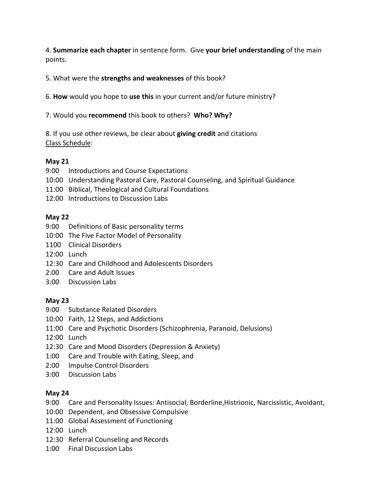4. **Summarize each chapter** in sentence form. Give **your brief understanding** of the main points.

## 5. What were the **strengths and weaknesses** of this book?

6. **How** would you hope to **use this** in your current and/or future ministry?

7. Would you **recommend** this book to others? **Who? Why?**

8. If you use other reviews, be clear about **giving credit** and citations Class Schedule:

## **May 21**

- 9:00 Introductions and Course Expectations
- 10:00 Understanding Pastoral Care, Pastoral Counseling, and Spiritual Guidance
- 11:00 Biblical, Theological and Cultural Foundations
- 12:00 Introductions to Discussion Labs

## **May 22**

- 9:00 Definitions of Basic personality terms
- 10:00 The Five Factor Model of Personality
- 1100 Clinical Disorders
- 12:00 Lunch
- 12:30 Care and Childhood and Adolescents Disorders
- 2:00 Care and Adult Issues
- 3:00 Discussion Labs

## **May 23**

- 9:00 Substance Related Disorders
- 10:00 Faith, 12 Steps, and Addictions
- 11:00 Care and Psychotic Disorders (Schizophrenia, Paranoid, Delusions)
- 12:00 Lunch
- 12:30 Care and Mood Disorders (Depression & Anxiety)
- 1:00 Care and Trouble with Eating, Sleep, and
- 2:00 Impulse Control Disorders
- 3:00 Discussion Labs

## **May 24**

- 9:00 Care and Personality Issues: Antisocial, Borderline,Histrionic, Narcissistic, Avoidant,
- 10:00 Dependent, and Obsessive Compulsive
- 11:00 Global Assessment of Functioning
- 12:00 Lunch
- 12:30 Referral Counseling and Records
- 1:00 Final Discussion Labs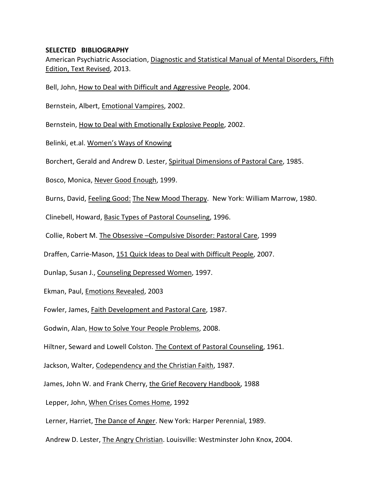#### **SELECTED BIBLIOGRAPHY**

American Psychiatric Association, Diagnostic and Statistical Manual of Mental Disorders, Fifth Edition, Text Revised, 2013.

Bell, John, How to Deal with Difficult and Aggressive People, 2004.

Bernstein, Albert, Emotional Vampires, 2002.

Bernstein, How to Deal with Emotionally Explosive People, 2002.

Belinki, et.al. Women's Ways of Knowing

Borchert, Gerald and Andrew D. Lester, Spiritual Dimensions of Pastoral Care, 1985.

Bosco, Monica, Never Good Enough, 1999.

Burns, David, Feeling Good: The New Mood Therapy. New York: William Marrow, 1980.

Clinebell, Howard, Basic Types of Pastoral Counseling, 1996.

Collie, Robert M. The Obsessive –Compulsive Disorder: Pastoral Care, 1999

Draffen, Carrie-Mason, 151 Quick Ideas to Deal with Difficult People, 2007.

Dunlap, Susan J., Counseling Depressed Women, 1997.

Ekman, Paul, Emotions Revealed, 2003

Fowler, James, Faith Development and Pastoral Care, 1987.

Godwin, Alan, How to Solve Your People Problems, 2008.

Hiltner, Seward and Lowell Colston. The Context of Pastoral Counseling, 1961.

Jackson, Walter, Codependency and the Christian Faith, 1987.

James, John W. and Frank Cherry, the Grief Recovery Handbook, 1988

Lepper, John, When Crises Comes Home, 1992

Lerner, Harriet, The Dance of Anger. New York: Harper Perennial, 1989.

Andrew D. Lester, The Angry Christian. Louisville: Westminster John Knox, 2004.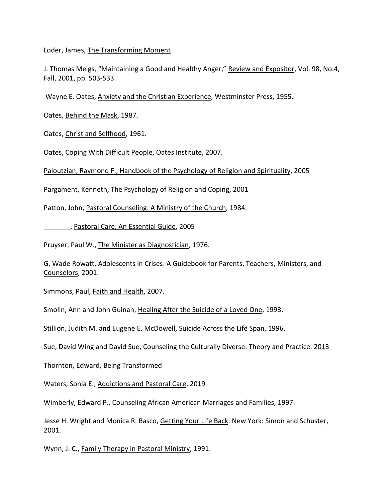Loder, James, The Transforming Moment

J. Thomas Meigs, "Maintaining a Good and Healthy Anger," Review and Expositor, Vol. 98, No.4, Fall, 2001, pp. 503-533.

Wayne E. Oates, Anxiety and the Christian Experience, Westminster Press, 1955.

Oates, Behind the Mask, 1987.

Oates, Christ and Selfhood, 1961.

Oates, Coping With Difficult People, Oates Institute, 2007.

Paloutzian, Raymond F., Handbook of the Psychology of Religion and Spirituality, 2005

Pargament, Kenneth, The Psychology of Religion and Coping, 2001

Patton, John, Pastoral Counseling: A Ministry of the Church, 1984.

\_\_\_\_\_\_\_, Pastoral Care, An Essential Guide, 2005

Pruyser, Paul W., The Minister as Diagnostician, 1976.

G. Wade Rowatt, Adolescents in Crises: A Guidebook for Parents, Teachers, Ministers, and Counselors, 2001.

Simmons, Paul, Faith and Health, 2007.

Smolin, Ann and John Guinan, Healing After the Suicide of a Loved One, 1993.

Stillion, Judith M. and Eugene E. McDowell, Suicide Across the Life Span, 1996.

Sue, David Wing and David Sue, Counseling the Culturally Diverse: Theory and Practice. 2013

Thornton, Edward, Being Transformed

Waters, Sonia E., Addictions and Pastoral Care, 2019

Wimberly, Edward P., Counseling African American Marriages and Families, 1997.

Jesse H. Wright and Monica R. Basco, Getting Your Life Back. New York: Simon and Schuster, 2001.

Wynn, J. C., Family Therapy in Pastoral Ministry, 1991.